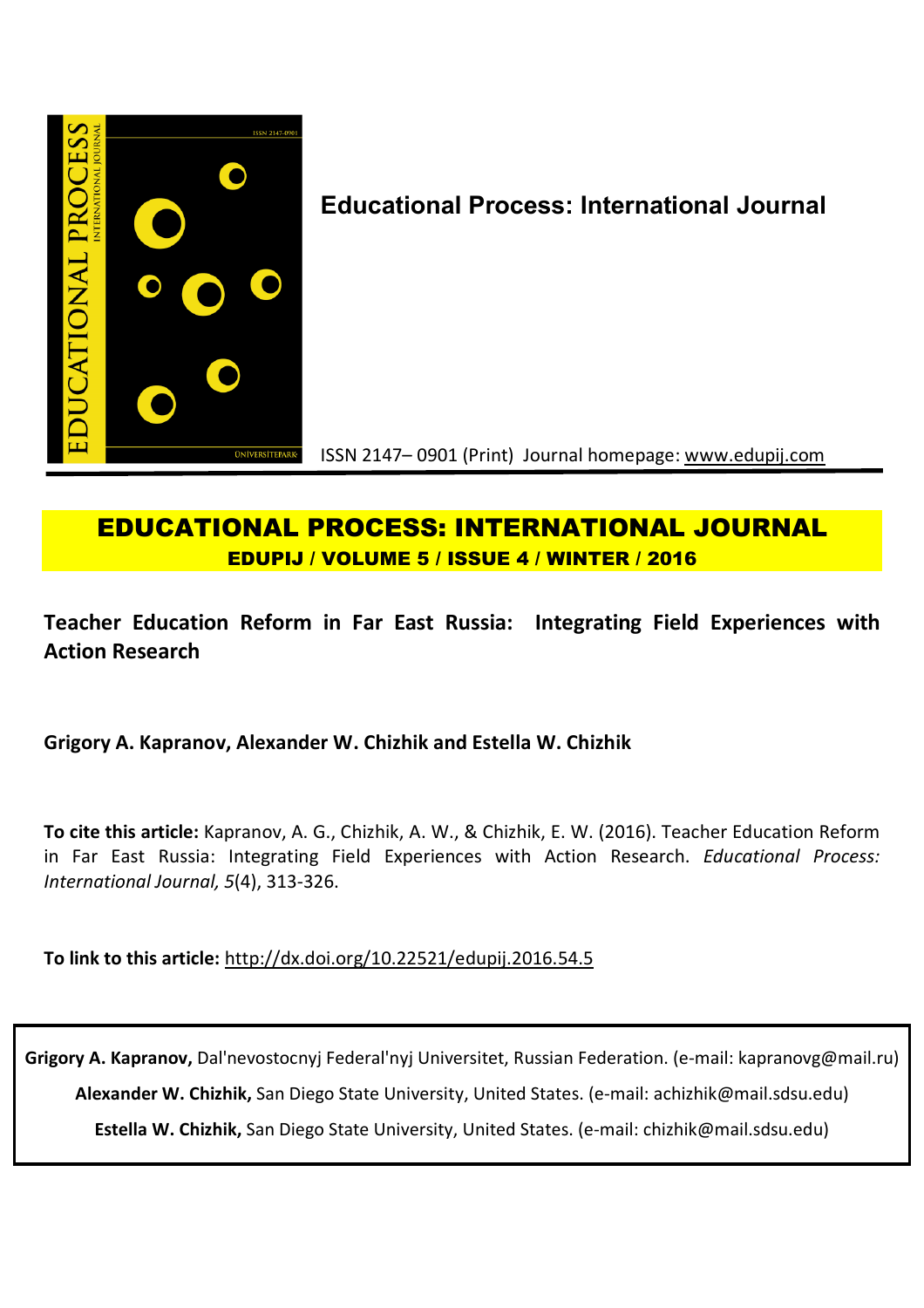

# **Educational Process: International Journal**

ISSN 2147– 0901 (Print) Journal homepage: www.edupij.com

# **EDUCATIONAL PROCESS: INTERNATIONAL JOURNAL EDUPIJ / VOLUME 5 / ISSUE 4 / WINTER / 2016**

**Teacher Education Reform in Far East Russia: Integrating Field Experiences with Action Research**

## **Grigory A. Kapranov, Alexander W. Chizhik and Estella W. Chizhik**

**To cite this article:** Kapranov, A. G., Chizhik, A. W., & Chizhik, E. W. (2016). Teacher Education Reform in Far East Russia: Integrating Field Experiences with Action Research. *Educational Process: International Journal, 5*(4), 313-326.

**To link to this article:** http://dx.doi.org/10.22521/edupij.2016.54.5

**Grigory A. Kapranov,** Dal'nevostocnyj Federal'nyj Universitet, Russian Federation. (e-mail: kapranovg@mail.ru) **Alexander W. Chizhik,** San Diego State University, United States. (e-mail: achizhik@mail.sdsu.edu) **Estella W. Chizhik,** San Diego State University, United States. (e-mail: chizhik@mail.sdsu.edu)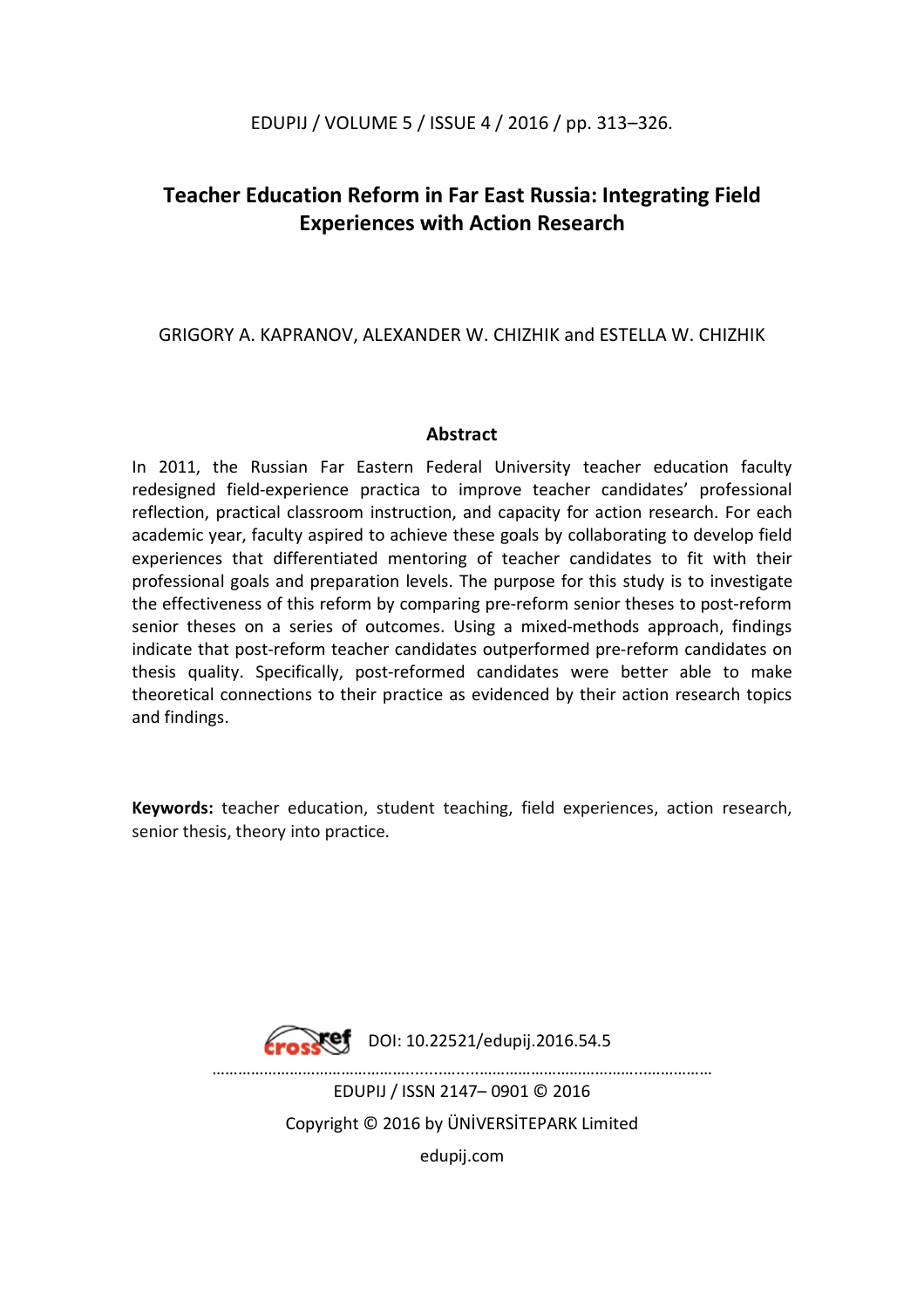## EDUPIJ / VOLUME 5 / ISSUE 4 / 2016 / pp. 313–326.

# **Teacher Education Reform in Far East Russia: Integrating Field Experiences with Action Research**

GRIGORY A. KAPRANOV, ALEXANDER W. CHIZHIK and ESTELLA W. CHIZHIK

## **Abstract**

In 2011, the Russian Far Eastern Federal University teacher education faculty redesigned field-experience practica to improve teacher candidates' professional reflection, practical classroom instruction, and capacity for action research. For each academic year, faculty aspired to achieve these goals by collaborating to develop field experiences that differentiated mentoring of teacher candidates to fit with their professional goals and preparation levels. The purpose for this study is to investigate the effectiveness of this reform by comparing pre-reform senior theses to post-reform senior theses on a series of outcomes. Using a mixed-methods approach, findings indicate that post-reform teacher candidates outperformed pre-reform candidates on thesis quality. Specifically, post-reformed candidates were better able to make theoretical connections to their practice as evidenced by their action research topics and findings.

**Keywords:** teacher education, student teaching, field experiences, action research, senior thesis, theory into practice.



 $\text{Fock}$ ef DOI: 10.22521/edupij.2016.54.5

………………………………………........….....………………………………...…………… EDUPIJ / ISSN 2147– 0901 © 2016 Copyright © 2016 by ÜNİVERSİTEPARK Limited edupij.com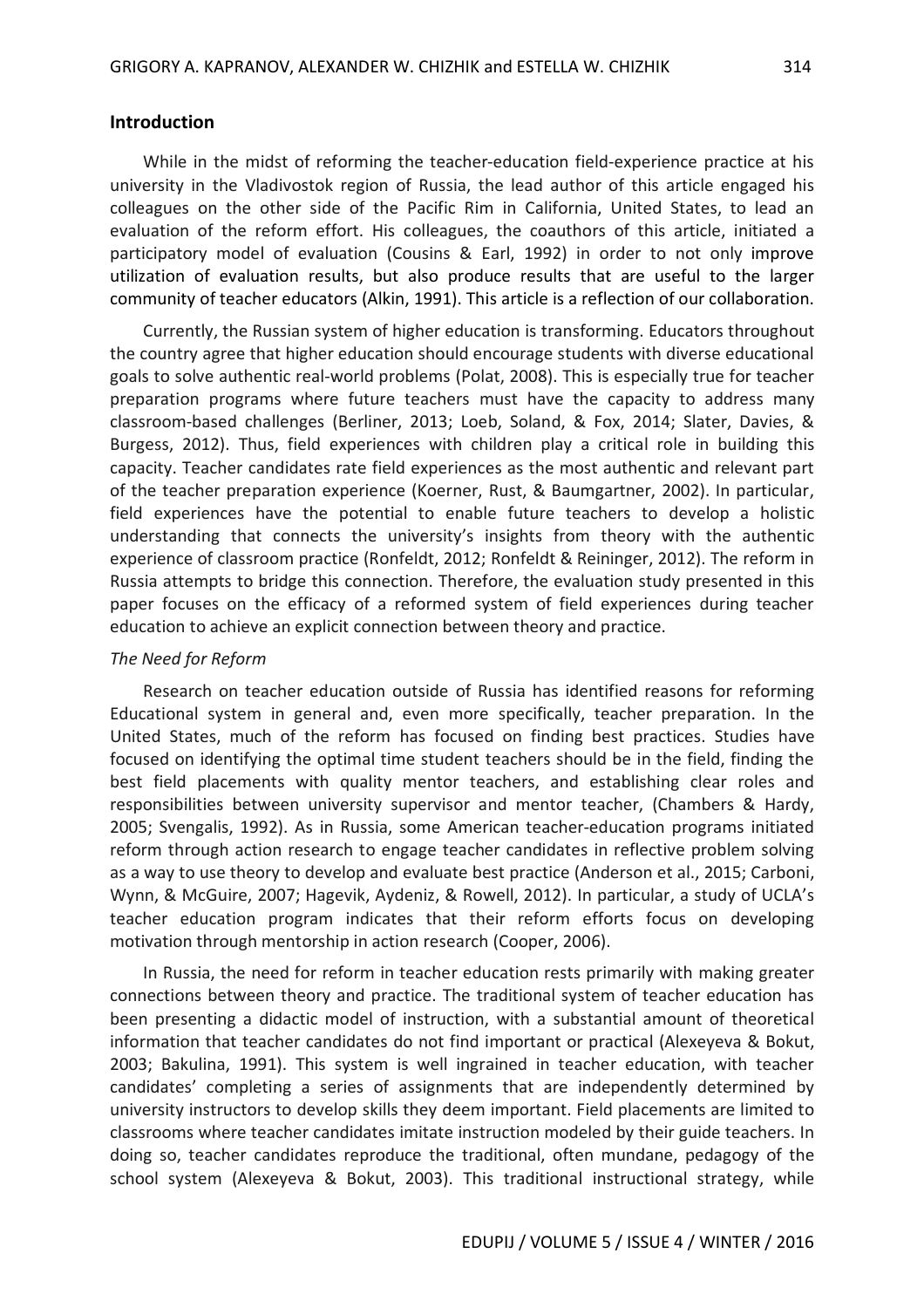## **Introduction**

While in the midst of reforming the teacher-education field-experience practice at his university in the Vladivostok region of Russia, the lead author of this article engaged his colleagues on the other side of the Pacific Rim in California, United States, to lead an evaluation of the reform effort. His colleagues, the coauthors of this article, initiated a participatory model of evaluation (Cousins & Earl, 1992) in order to not only improve utilization of evaluation results, but also produce results that are useful to the larger community of teacher educators (Alkin, 1991). This article is a reflection of our collaboration.

Currently, the Russian system of higher education is transforming. Educators throughout the country agree that higher education should encourage students with diverse educational goals to solve authentic real-world problems (Polat, 2008). This is especially true for teacher preparation programs where future teachers must have the capacity to address many classroom-based challenges (Berliner, 2013; Loeb, Soland, & Fox, 2014; Slater, Davies, & Burgess, 2012). Thus, field experiences with children play a critical role in building this capacity. Teacher candidates rate field experiences as the most authentic and relevant part of the teacher preparation experience (Koerner, Rust, & Baumgartner, 2002). In particular, field experiences have the potential to enable future teachers to develop a holistic understanding that connects the university's insights from theory with the authentic experience of classroom practice (Ronfeldt, 2012; Ronfeldt & Reininger, 2012). The reform in Russia attempts to bridge this connection. Therefore, the evaluation study presented in this paper focuses on the efficacy of a reformed system of field experiences during teacher education to achieve an explicit connection between theory and practice.

#### *The Need for Reform*

Research on teacher education outside of Russia has identified reasons for reforming Educational system in general and, even more specifically, teacher preparation. In the United States, much of the reform has focused on finding best practices. Studies have focused on identifying the optimal time student teachers should be in the field, finding the best field placements with quality mentor teachers, and establishing clear roles and responsibilities between university supervisor and mentor teacher, (Chambers & Hardy, 2005; Svengalis, 1992). As in Russia, some American teacher-education programs initiated reform through action research to engage teacher candidates in reflective problem solving as a way to use theory to develop and evaluate best practice (Anderson et al., 2015; Carboni, Wynn, & McGuire, 2007; Hagevik, Aydeniz, & Rowell, 2012). In particular, a study of UCLA's teacher education program indicates that their reform efforts focus on developing motivation through mentorship in action research (Cooper, 2006).

In Russia, the need for reform in teacher education rests primarily with making greater connections between theory and practice. The traditional system of teacher education has been presenting a didactic model of instruction, with a substantial amount of theoretical information that teacher candidates do not find important or practical (Alexeyeva & Bokut, 2003; Bakulina, 1991). This system is well ingrained in teacher education, with teacher candidates' completing a series of assignments that are independently determined by university instructors to develop skills they deem important. Field placements are limited to classrooms where teacher candidates imitate instruction modeled by their guide teachers. In doing so, teacher candidates reproduce the traditional, often mundane, pedagogy of the school system (Alexeyeva & Bokut, 2003). This traditional instructional strategy, while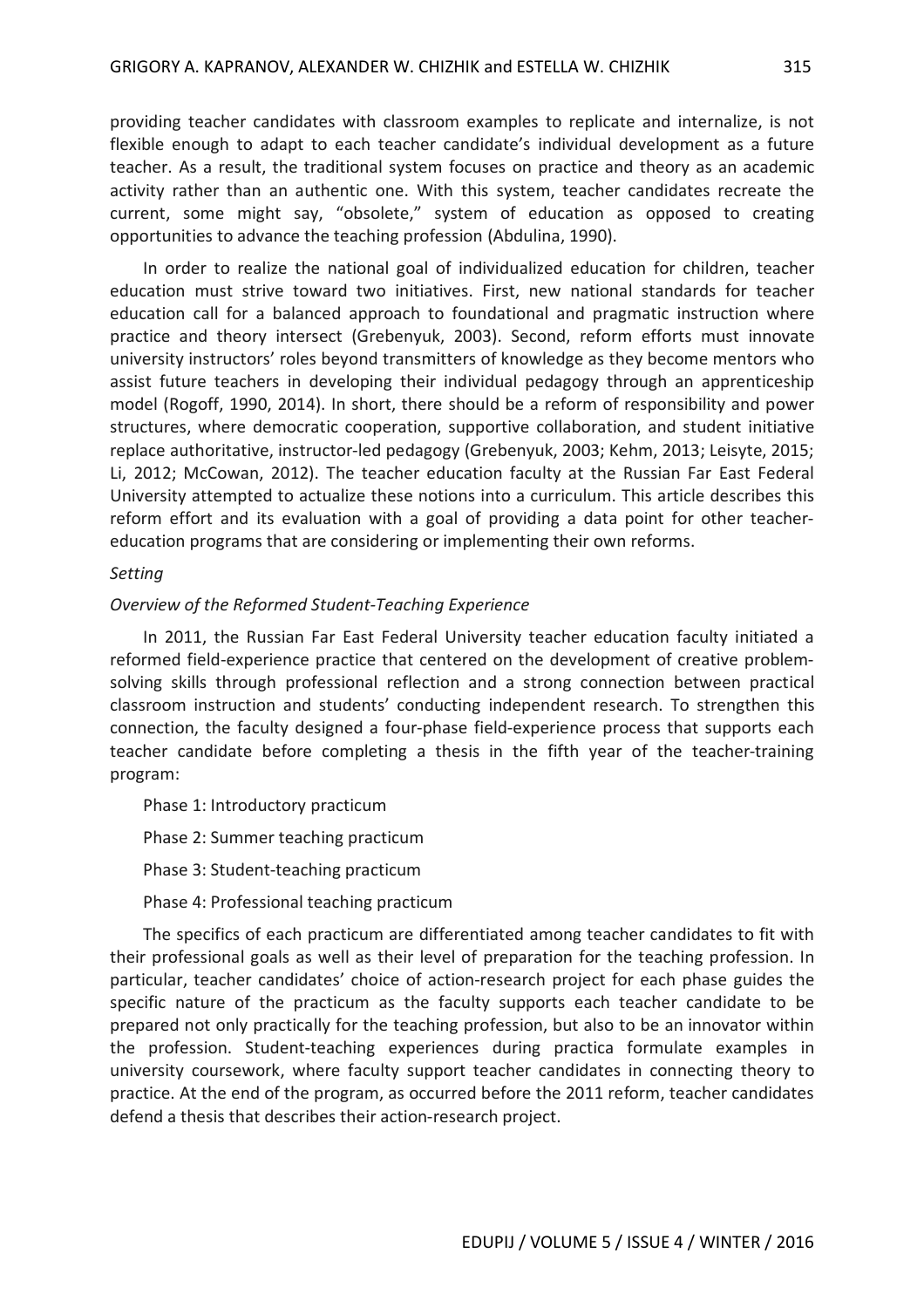providing teacher candidates with classroom examples to replicate and internalize, is not flexible enough to adapt to each teacher candidate's individual development as a future teacher. As a result, the traditional system focuses on practice and theory as an academic activity rather than an authentic one. With this system, teacher candidates recreate the current, some might say, "obsolete," system of education as opposed to creating opportunities to advance the teaching profession (Abdulina, 1990).

In order to realize the national goal of individualized education for children, teacher education must strive toward two initiatives. First, new national standards for teacher education call for a balanced approach to foundational and pragmatic instruction where practice and theory intersect (Grebenyuk, 2003). Second, reform efforts must innovate university instructors' roles beyond transmitters of knowledge as they become mentors who assist future teachers in developing their individual pedagogy through an apprenticeship model (Rogoff, 1990, 2014). In short, there should be a reform of responsibility and power structures, where democratic cooperation, supportive collaboration, and student initiative replace authoritative, instructor-led pedagogy (Grebenyuk, 2003; Kehm, 2013; Leisyte, 2015; Li, 2012; McCowan, 2012). The teacher education faculty at the Russian Far East Federal University attempted to actualize these notions into a curriculum. This article describes this reform effort and its evaluation with a goal of providing a data point for other teachereducation programs that are considering or implementing their own reforms.

## *Setting*

## *Overview of the Reformed Student-Teaching Experience*

In 2011, the Russian Far East Federal University teacher education faculty initiated a reformed field-experience practice that centered on the development of creative problemsolving skills through professional reflection and a strong connection between practical classroom instruction and students' conducting independent research. To strengthen this connection, the faculty designed a four-phase field-experience process that supports each teacher candidate before completing a thesis in the fifth year of the teacher-training program:

Phase 1: Introductory practicum Phase 2: Summer teaching practicum Phase 3: Student-teaching practicum Phase 4: Professional teaching practicum

The specifics of each practicum are differentiated among teacher candidates to fit with their professional goals as well as their level of preparation for the teaching profession. In particular, teacher candidates' choice of action-research project for each phase guides the specific nature of the practicum as the faculty supports each teacher candidate to be prepared not only practically for the teaching profession, but also to be an innovator within the profession. Student-teaching experiences during practica formulate examples in university coursework, where faculty support teacher candidates in connecting theory to practice. At the end of the program, as occurred before the 2011 reform, teacher candidates defend a thesis that describes their action-research project.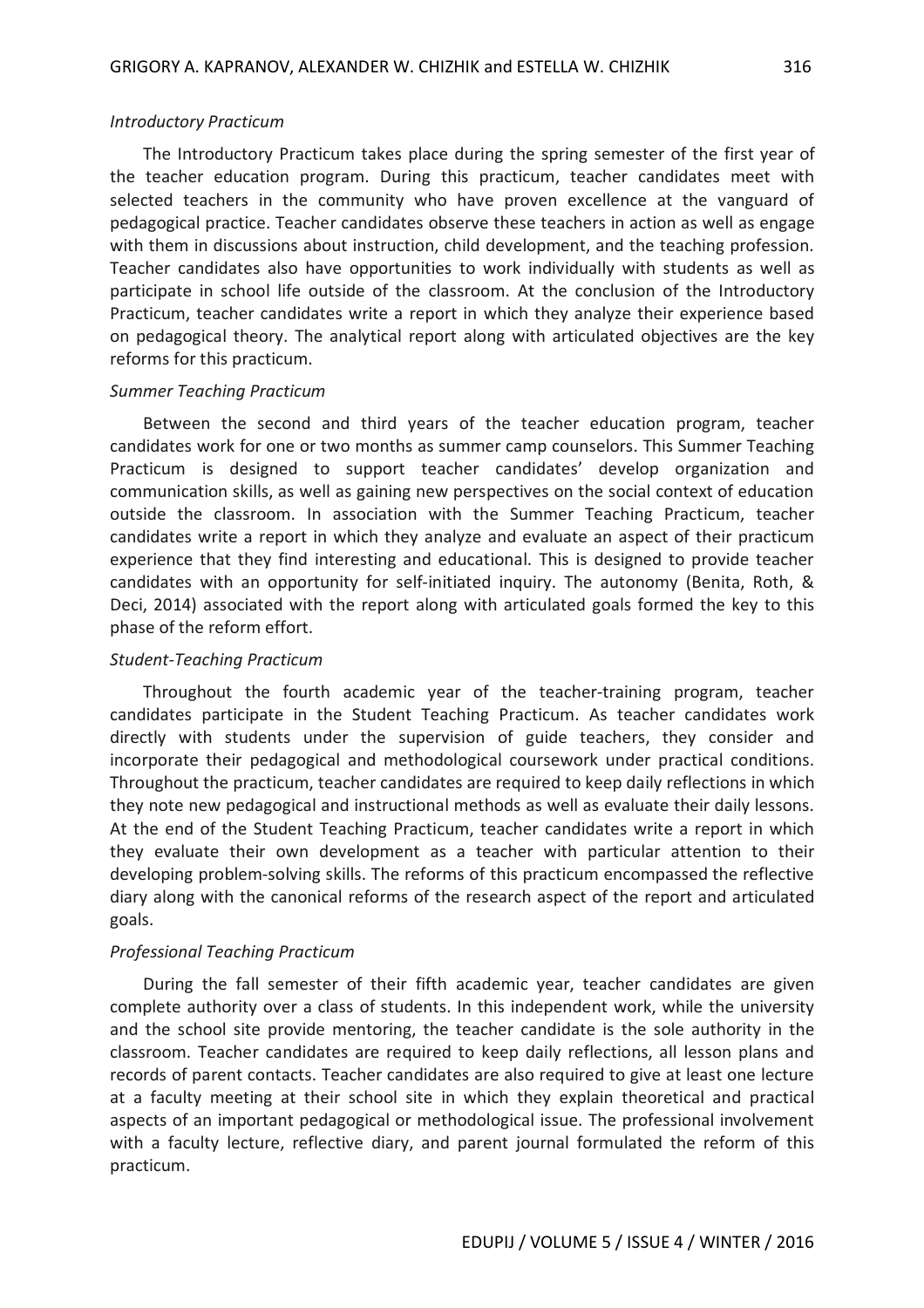#### *Introductory Practicum*

The Introductory Practicum takes place during the spring semester of the first year of the teacher education program. During this practicum, teacher candidates meet with selected teachers in the community who have proven excellence at the vanguard of pedagogical practice. Teacher candidates observe these teachers in action as well as engage with them in discussions about instruction, child development, and the teaching profession. Teacher candidates also have opportunities to work individually with students as well as participate in school life outside of the classroom. At the conclusion of the Introductory Practicum, teacher candidates write a report in which they analyze their experience based on pedagogical theory. The analytical report along with articulated objectives are the key reforms for this practicum.

#### *Summer Teaching Practicum*

Between the second and third years of the teacher education program, teacher candidates work for one or two months as summer camp counselors. This Summer Teaching Practicum is designed to support teacher candidates' develop organization and communication skills, as well as gaining new perspectives on the social context of education outside the classroom. In association with the Summer Teaching Practicum, teacher candidates write a report in which they analyze and evaluate an aspect of their practicum experience that they find interesting and educational. This is designed to provide teacher candidates with an opportunity for self-initiated inquiry. The autonomy (Benita, Roth, & Deci, 2014) associated with the report along with articulated goals formed the key to this phase of the reform effort.

#### *Student-Teaching Practicum*

Throughout the fourth academic year of the teacher-training program, teacher candidates participate in the Student Teaching Practicum. As teacher candidates work directly with students under the supervision of guide teachers, they consider and incorporate their pedagogical and methodological coursework under practical conditions. Throughout the practicum, teacher candidates are required to keep daily reflections in which they note new pedagogical and instructional methods as well as evaluate their daily lessons. At the end of the Student Teaching Practicum, teacher candidates write a report in which they evaluate their own development as a teacher with particular attention to their developing problem-solving skills. The reforms of this practicum encompassed the reflective diary along with the canonical reforms of the research aspect of the report and articulated goals.

#### *Professional Teaching Practicum*

During the fall semester of their fifth academic year, teacher candidates are given complete authority over a class of students. In this independent work, while the university and the school site provide mentoring, the teacher candidate is the sole authority in the classroom. Teacher candidates are required to keep daily reflections, all lesson plans and records of parent contacts. Teacher candidates are also required to give at least one lecture at a faculty meeting at their school site in which they explain theoretical and practical aspects of an important pedagogical or methodological issue. The professional involvement with a faculty lecture, reflective diary, and parent journal formulated the reform of this practicum.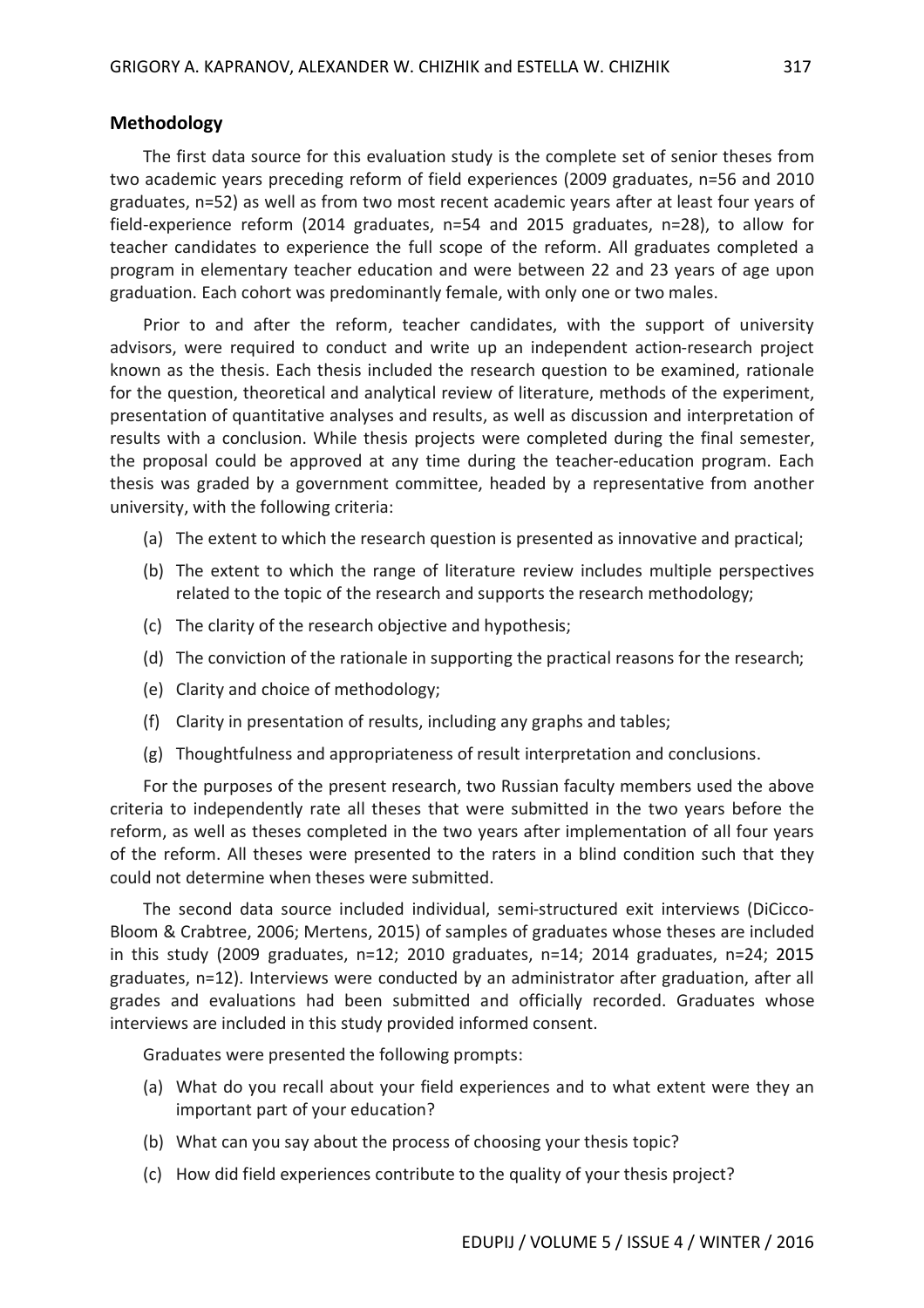## **Methodology**

The first data source for this evaluation study is the complete set of senior theses from two academic years preceding reform of field experiences (2009 graduates, n=56 and 2010 graduates, n=52) as well as from two most recent academic years after at least four years of field-experience reform (2014 graduates, n=54 and 2015 graduates, n=28), to allow for teacher candidates to experience the full scope of the reform. All graduates completed a program in elementary teacher education and were between 22 and 23 years of age upon graduation. Each cohort was predominantly female, with only one or two males.

Prior to and after the reform, teacher candidates, with the support of university advisors, were required to conduct and write up an independent action-research project known as the thesis. Each thesis included the research question to be examined, rationale for the question, theoretical and analytical review of literature, methods of the experiment, presentation of quantitative analyses and results, as well as discussion and interpretation of results with a conclusion. While thesis projects were completed during the final semester, the proposal could be approved at any time during the teacher-education program. Each thesis was graded by a government committee, headed by a representative from another university, with the following criteria:

- (a) The extent to which the research question is presented as innovative and practical;
- (b) The extent to which the range of literature review includes multiple perspectives related to the topic of the research and supports the research methodology;
- (c) The clarity of the research objective and hypothesis;
- (d) The conviction of the rationale in supporting the practical reasons for the research;
- (e) Clarity and choice of methodology;
- (f) Clarity in presentation of results, including any graphs and tables;
- (g) Thoughtfulness and appropriateness of result interpretation and conclusions.

For the purposes of the present research, two Russian faculty members used the above criteria to independently rate all theses that were submitted in the two years before the reform, as well as theses completed in the two years after implementation of all four years of the reform. All theses were presented to the raters in a blind condition such that they could not determine when theses were submitted.

The second data source included individual, semi-structured exit interviews (DiCicco-Bloom & Crabtree, 2006; Mertens, 2015) of samples of graduates whose theses are included in this study (2009 graduates, n=12; 2010 graduates, n=14; 2014 graduates, n=24; 2015 graduates, n=12). Interviews were conducted by an administrator after graduation, after all grades and evaluations had been submitted and officially recorded. Graduates whose interviews are included in this study provided informed consent.

Graduates were presented the following prompts:

- (a) What do you recall about your field experiences and to what extent were they an important part of your education?
- (b) What can you say about the process of choosing your thesis topic?
- (c) How did field experiences contribute to the quality of your thesis project?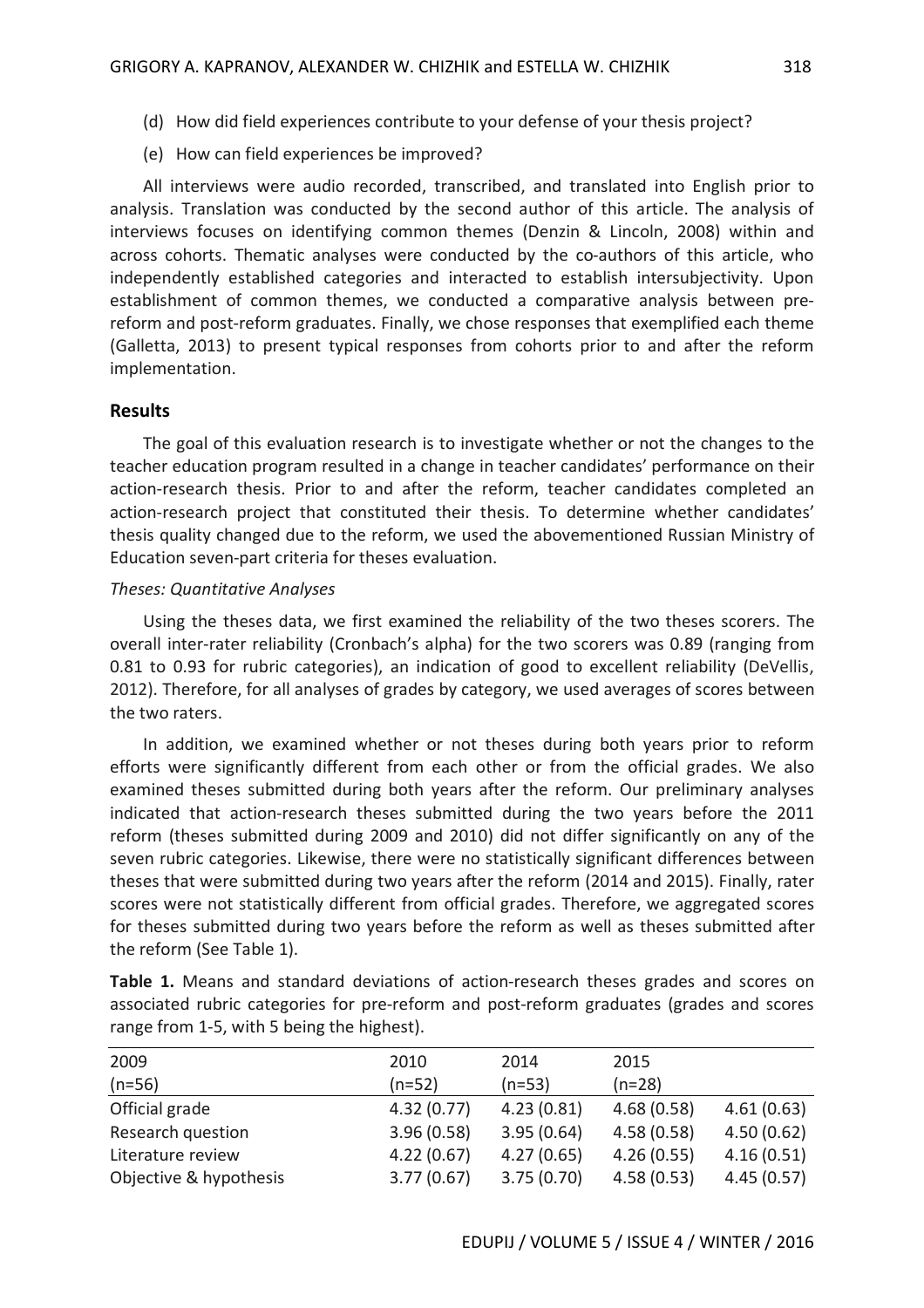- (d) How did field experiences contribute to your defense of your thesis project?
- (e) How can field experiences be improved?

All interviews were audio recorded, transcribed, and translated into English prior to analysis. Translation was conducted by the second author of this article. The analysis of interviews focuses on identifying common themes (Denzin & Lincoln, 2008) within and across cohorts. Thematic analyses were conducted by the co-authors of this article, who independently established categories and interacted to establish intersubjectivity. Upon establishment of common themes, we conducted a comparative analysis between prereform and post-reform graduates. Finally, we chose responses that exemplified each theme (Galletta, 2013) to present typical responses from cohorts prior to and after the reform implementation.

## **Results**

The goal of this evaluation research is to investigate whether or not the changes to the teacher education program resulted in a change in teacher candidates' performance on their action-research thesis. Prior to and after the reform, teacher candidates completed an action-research project that constituted their thesis. To determine whether candidates' thesis quality changed due to the reform, we used the abovementioned Russian Ministry of Education seven-part criteria for theses evaluation.

## *Theses: Quantitative Analyses*

Using the theses data, we first examined the reliability of the two theses scorers. The overall inter-rater reliability (Cronbach's alpha) for the two scorers was 0.89 (ranging from 0.81 to 0.93 for rubric categories), an indication of good to excellent reliability (DeVellis, 2012). Therefore, for all analyses of grades by category, we used averages of scores between the two raters.

In addition, we examined whether or not theses during both years prior to reform efforts were significantly different from each other or from the official grades. We also examined theses submitted during both years after the reform. Our preliminary analyses indicated that action-research theses submitted during the two years before the 2011 reform (theses submitted during 2009 and 2010) did not differ significantly on any of the seven rubric categories. Likewise, there were no statistically significant differences between theses that were submitted during two years after the reform (2014 and 2015). Finally, rater scores were not statistically different from official grades. Therefore, we aggregated scores for theses submitted during two years before the reform as well as theses submitted after the reform (See Table 1).

| 2009                   | 2010       | 2014       | 2015       |            |
|------------------------|------------|------------|------------|------------|
| $(n=56)$               | $(n=52)$   | $(n=53)$   | $(n=28)$   |            |
| Official grade         | 4.32(0.77) | 4.23(0.81) | 4.68(0.58) | 4.61(0.63) |
| Research question      | 3.96(0.58) | 3.95(0.64) | 4.58(0.58) | 4.50(0.62) |
| Literature review      | 4.22(0.67) | 4.27(0.65) | 4.26(0.55) | 4.16(0.51) |
| Objective & hypothesis | 3.77(0.67) | 3.75(0.70) | 4.58(0.53) | 4.45(0.57) |

**Table 1.** Means and standard deviations of action-research theses grades and scores on associated rubric categories for pre-reform and post-reform graduates (grades and scores range from 1-5, with 5 being the highest).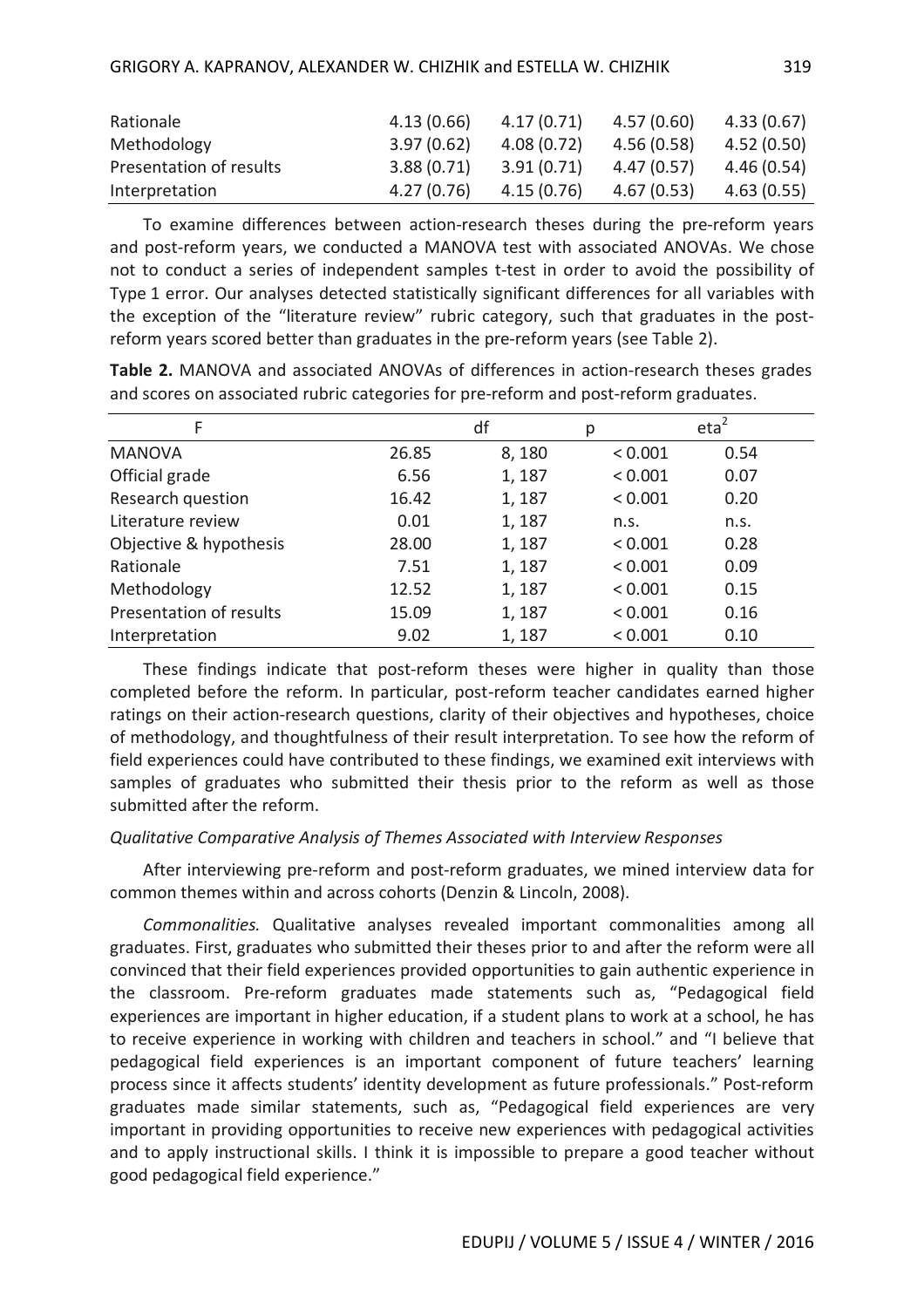| Rationale               | 4.13(0.66) | 4.17(0.71) | 4.57(0.60) | 4.33 (0.67) |
|-------------------------|------------|------------|------------|-------------|
| Methodology             | 3.97(0.62) | 4.08(0.72) | 4.56(0.58) | 4.52(0.50)  |
| Presentation of results | 3.88(0.71) | 3.91(0.71) | 4.47(0.57) | 4.46 (0.54) |
| Interpretation          | 4.27(0.76) | 4.15(0.76) | 4.67(0.53) | 4.63(0.55)  |

To examine differences between action-research theses during the pre-reform years and post-reform years, we conducted a MANOVA test with associated ANOVAs. We chose not to conduct a series of independent samples t-test in order to avoid the possibility of Type 1 error. Our analyses detected statistically significant differences for all variables with the exception of the "literature review" rubric category, such that graduates in the postreform years scored better than graduates in the pre-reform years (see Table 2).

**Table 2.** MANOVA and associated ANOVAs of differences in action-research theses grades and scores on associated rubric categories for pre-reform and post-reform graduates.

| F                       |       | df    | р       | eta <sup>2</sup> |
|-------------------------|-------|-------|---------|------------------|
| <b>MANOVA</b>           | 26.85 | 8,180 | < 0.001 | 0.54             |
| Official grade          | 6.56  | 1,187 | < 0.001 | 0.07             |
| Research question       | 16.42 | 1,187 | < 0.001 | 0.20             |
| Literature review       | 0.01  | 1,187 | n.s.    | n.s.             |
| Objective & hypothesis  | 28.00 | 1,187 | < 0.001 | 0.28             |
| Rationale               | 7.51  | 1,187 | < 0.001 | 0.09             |
| Methodology             | 12.52 | 1,187 | < 0.001 | 0.15             |
| Presentation of results | 15.09 | 1,187 | < 0.001 | 0.16             |
| Interpretation          | 9.02  | 1,187 | < 0.001 | 0.10             |

These findings indicate that post-reform theses were higher in quality than those completed before the reform. In particular, post-reform teacher candidates earned higher ratings on their action-research questions, clarity of their objectives and hypotheses, choice of methodology, and thoughtfulness of their result interpretation. To see how the reform of field experiences could have contributed to these findings, we examined exit interviews with samples of graduates who submitted their thesis prior to the reform as well as those submitted after the reform.

## *Qualitative Comparative Analysis of Themes Associated with Interview Responses*

After interviewing pre-reform and post-reform graduates, we mined interview data for common themes within and across cohorts (Denzin & Lincoln, 2008).

*Commonalities.* Qualitative analyses revealed important commonalities among all graduates. First, graduates who submitted their theses prior to and after the reform were all convinced that their field experiences provided opportunities to gain authentic experience in the classroom. Pre-reform graduates made statements such as, "Pedagogical field experiences are important in higher education, if a student plans to work at a school, he has to receive experience in working with children and teachers in school." and "I believe that pedagogical field experiences is an important component of future teachers' learning process since it affects students' identity development as future professionals." Post-reform graduates made similar statements, such as, "Pedagogical field experiences are very important in providing opportunities to receive new experiences with pedagogical activities and to apply instructional skills. I think it is impossible to prepare a good teacher without good pedagogical field experience."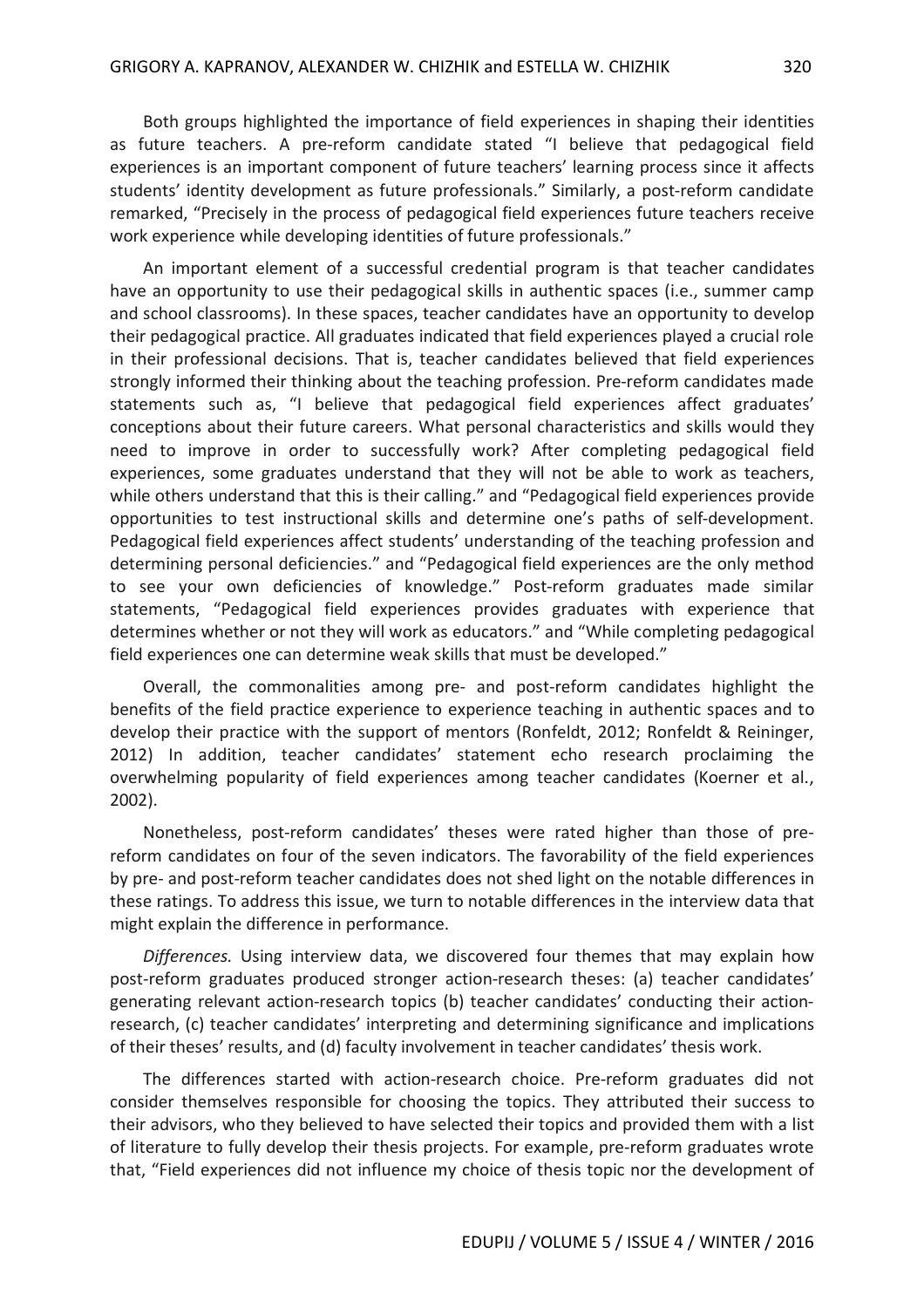Both groups highlighted the importance of field experiences in shaping their identities as future teachers. A pre-reform candidate stated "I believe that pedagogical field experiences is an important component of future teachers' learning process since it affects students' identity development as future professionals." Similarly, a post-reform candidate remarked, "Precisely in the process of pedagogical field experiences future teachers receive work experience while developing identities of future professionals."

An important element of a successful credential program is that teacher candidates have an opportunity to use their pedagogical skills in authentic spaces (i.e., summer camp and school classrooms). In these spaces, teacher candidates have an opportunity to develop their pedagogical practice. All graduates indicated that field experiences played a crucial role in their professional decisions. That is, teacher candidates believed that field experiences strongly informed their thinking about the teaching profession. Pre-reform candidates made statements such as, "I believe that pedagogical field experiences affect graduates' conceptions about their future careers. What personal characteristics and skills would they need to improve in order to successfully work? After completing pedagogical field experiences, some graduates understand that they will not be able to work as teachers, while others understand that this is their calling." and "Pedagogical field experiences provide opportunities to test instructional skills and determine one's paths of self-development. Pedagogical field experiences affect students' understanding of the teaching profession and determining personal deficiencies." and "Pedagogical field experiences are the only method to see your own deficiencies of knowledge." Post-reform graduates made similar statements, "Pedagogical field experiences provides graduates with experience that determines whether or not they will work as educators." and "While completing pedagogical field experiences one can determine weak skills that must be developed."

Overall, the commonalities among pre- and post-reform candidates highlight the benefits of the field practice experience to experience teaching in authentic spaces and to develop their practice with the support of mentors (Ronfeldt, 2012; Ronfeldt & Reininger, 2012) In addition, teacher candidates' statement echo research proclaiming the overwhelming popularity of field experiences among teacher candidates (Koerner et al., 2002).

Nonetheless, post-reform candidates' theses were rated higher than those of prereform candidates on four of the seven indicators. The favorability of the field experiences by pre- and post-reform teacher candidates does not shed light on the notable differences in these ratings. To address this issue, we turn to notable differences in the interview data that might explain the difference in performance.

*Differences.* Using interview data, we discovered four themes that may explain how post-reform graduates produced stronger action-research theses: (a) teacher candidates' generating relevant action-research topics (b) teacher candidates' conducting their actionresearch, (c) teacher candidates' interpreting and determining significance and implications of their theses' results, and (d) faculty involvement in teacher candidates' thesis work.

The differences started with action-research choice. Pre-reform graduates did not consider themselves responsible for choosing the topics. They attributed their success to their advisors, who they believed to have selected their topics and provided them with a list of literature to fully develop their thesis projects. For example, pre-reform graduates wrote that, "Field experiences did not influence my choice of thesis topic nor the development of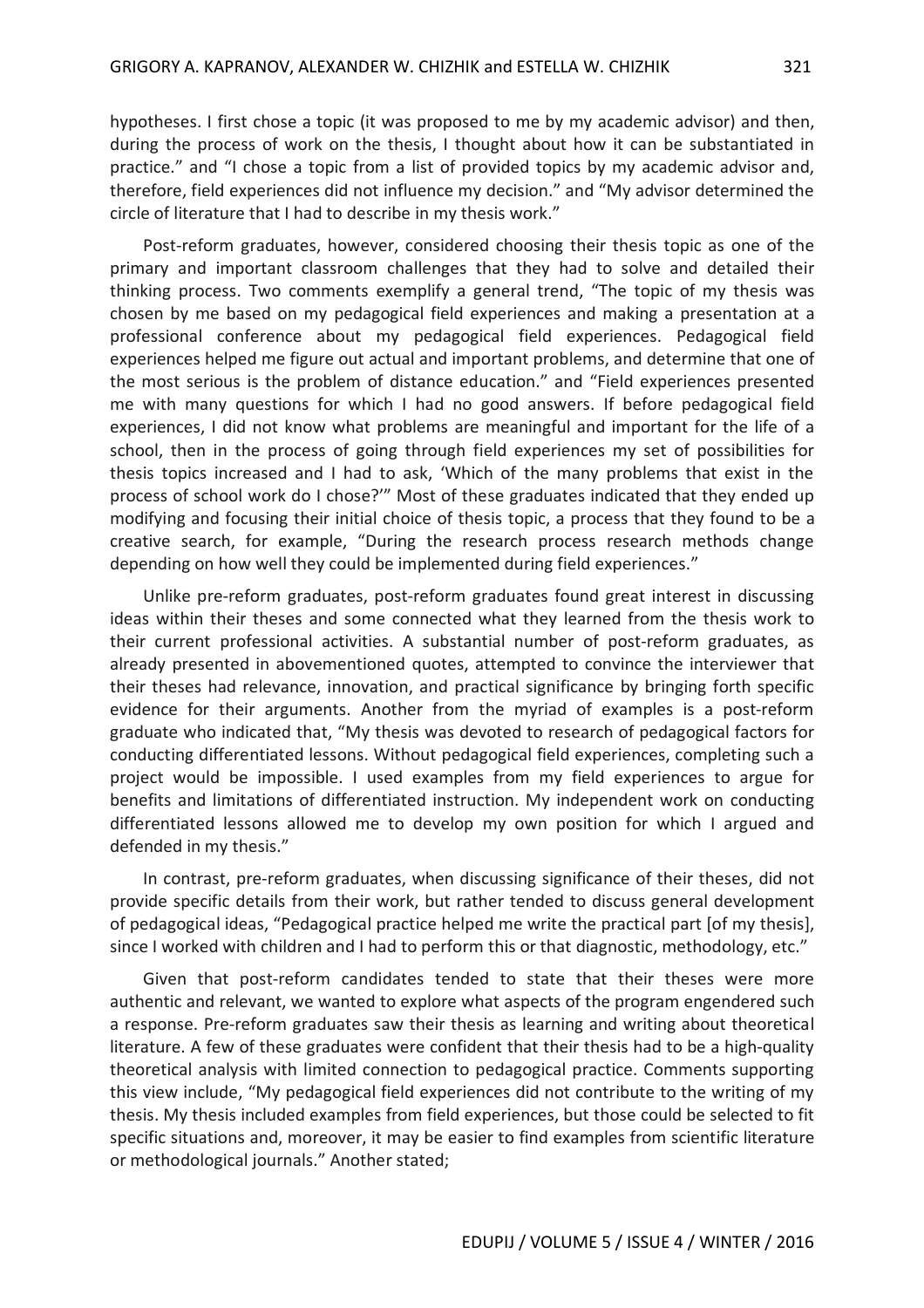hypotheses. I first chose a topic (it was proposed to me by my academic advisor) and then, during the process of work on the thesis, I thought about how it can be substantiated in practice." and "I chose a topic from a list of provided topics by my academic advisor and, therefore, field experiences did not influence my decision." and "My advisor determined the circle of literature that I had to describe in my thesis work."

Post-reform graduates, however, considered choosing their thesis topic as one of the primary and important classroom challenges that they had to solve and detailed their thinking process. Two comments exemplify a general trend, "The topic of my thesis was chosen by me based on my pedagogical field experiences and making a presentation at a professional conference about my pedagogical field experiences. Pedagogical field experiences helped me figure out actual and important problems, and determine that one of the most serious is the problem of distance education." and "Field experiences presented me with many questions for which I had no good answers. If before pedagogical field experiences, I did not know what problems are meaningful and important for the life of a school, then in the process of going through field experiences my set of possibilities for thesis topics increased and I had to ask, 'Which of the many problems that exist in the process of school work do I chose?'" Most of these graduates indicated that they ended up modifying and focusing their initial choice of thesis topic, a process that they found to be a creative search, for example, "During the research process research methods change depending on how well they could be implemented during field experiences."

Unlike pre-reform graduates, post-reform graduates found great interest in discussing ideas within their theses and some connected what they learned from the thesis work to their current professional activities. A substantial number of post-reform graduates, as already presented in abovementioned quotes, attempted to convince the interviewer that their theses had relevance, innovation, and practical significance by bringing forth specific evidence for their arguments. Another from the myriad of examples is a post-reform graduate who indicated that, "My thesis was devoted to research of pedagogical factors for conducting differentiated lessons. Without pedagogical field experiences, completing such a project would be impossible. I used examples from my field experiences to argue for benefits and limitations of differentiated instruction. My independent work on conducting differentiated lessons allowed me to develop my own position for which I argued and defended in my thesis."

In contrast, pre-reform graduates, when discussing significance of their theses, did not provide specific details from their work, but rather tended to discuss general development of pedagogical ideas, "Pedagogical practice helped me write the practical part [of my thesis], since I worked with children and I had to perform this or that diagnostic, methodology, etc."

Given that post-reform candidates tended to state that their theses were more authentic and relevant, we wanted to explore what aspects of the program engendered such a response. Pre-reform graduates saw their thesis as learning and writing about theoretical literature. A few of these graduates were confident that their thesis had to be a high-quality theoretical analysis with limited connection to pedagogical practice. Comments supporting this view include, "My pedagogical field experiences did not contribute to the writing of my thesis. My thesis included examples from field experiences, but those could be selected to fit specific situations and, moreover, it may be easier to find examples from scientific literature or methodological journals." Another stated;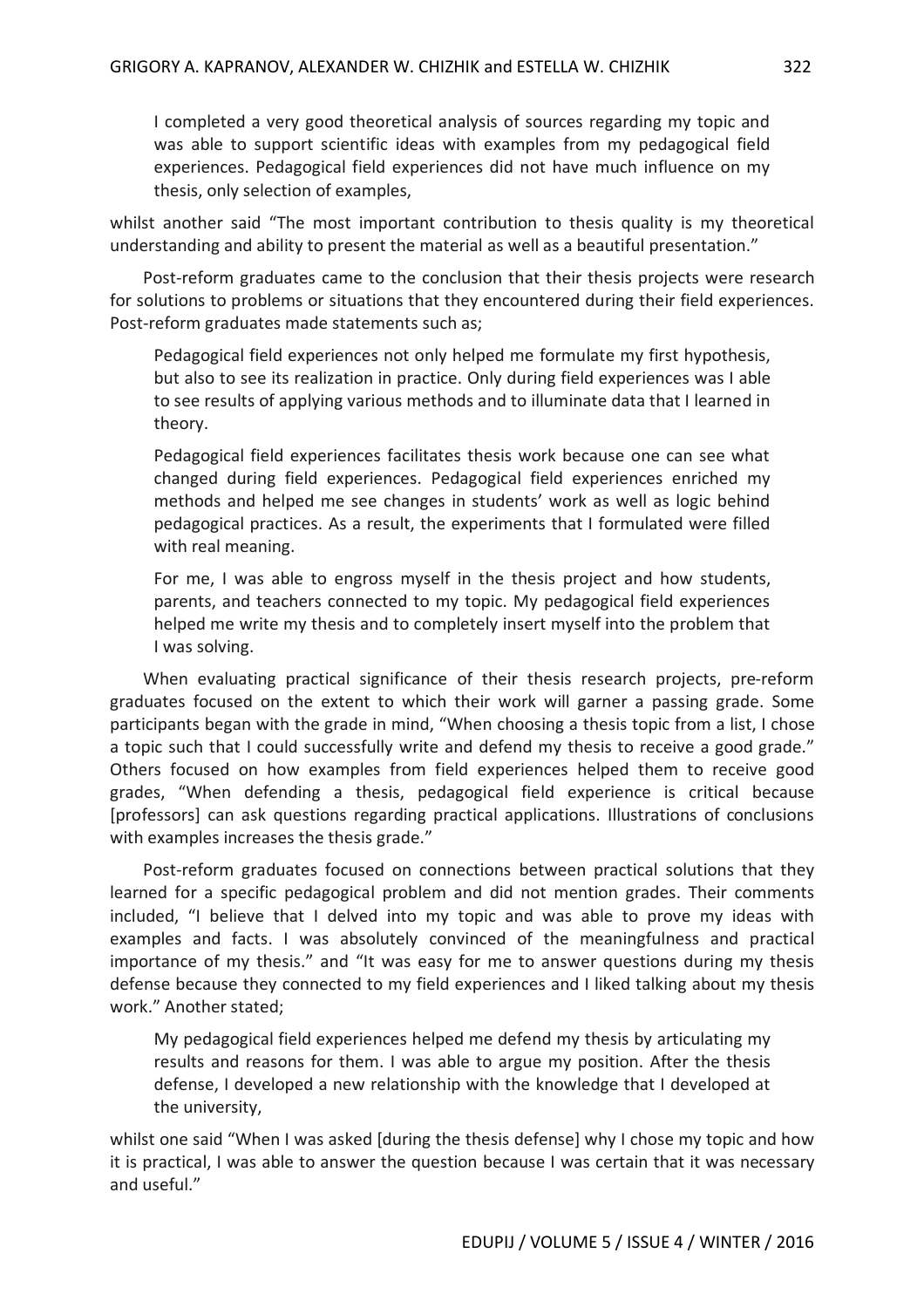I completed a very good theoretical analysis of sources regarding my topic and was able to support scientific ideas with examples from my pedagogical field experiences. Pedagogical field experiences did not have much influence on my thesis, only selection of examples,

whilst another said "The most important contribution to thesis quality is my theoretical understanding and ability to present the material as well as a beautiful presentation."

Post-reform graduates came to the conclusion that their thesis projects were research for solutions to problems or situations that they encountered during their field experiences. Post-reform graduates made statements such as;

Pedagogical field experiences not only helped me formulate my first hypothesis, but also to see its realization in practice. Only during field experiences was I able to see results of applying various methods and to illuminate data that I learned in theory.

Pedagogical field experiences facilitates thesis work because one can see what changed during field experiences. Pedagogical field experiences enriched my methods and helped me see changes in students' work as well as logic behind pedagogical practices. As a result, the experiments that I formulated were filled with real meaning.

For me, I was able to engross myself in the thesis project and how students, parents, and teachers connected to my topic. My pedagogical field experiences helped me write my thesis and to completely insert myself into the problem that I was solving.

When evaluating practical significance of their thesis research projects, pre-reform graduates focused on the extent to which their work will garner a passing grade. Some participants began with the grade in mind, "When choosing a thesis topic from a list, I chose a topic such that I could successfully write and defend my thesis to receive a good grade." Others focused on how examples from field experiences helped them to receive good grades, "When defending a thesis, pedagogical field experience is critical because [professors] can ask questions regarding practical applications. Illustrations of conclusions with examples increases the thesis grade."

Post-reform graduates focused on connections between practical solutions that they learned for a specific pedagogical problem and did not mention grades. Their comments included, "I believe that I delved into my topic and was able to prove my ideas with examples and facts. I was absolutely convinced of the meaningfulness and practical importance of my thesis." and "It was easy for me to answer questions during my thesis defense because they connected to my field experiences and I liked talking about my thesis work." Another stated;

My pedagogical field experiences helped me defend my thesis by articulating my results and reasons for them. I was able to argue my position. After the thesis defense, I developed a new relationship with the knowledge that I developed at the university,

whilst one said "When I was asked [during the thesis defense] why I chose my topic and how it is practical, I was able to answer the question because I was certain that it was necessary and useful."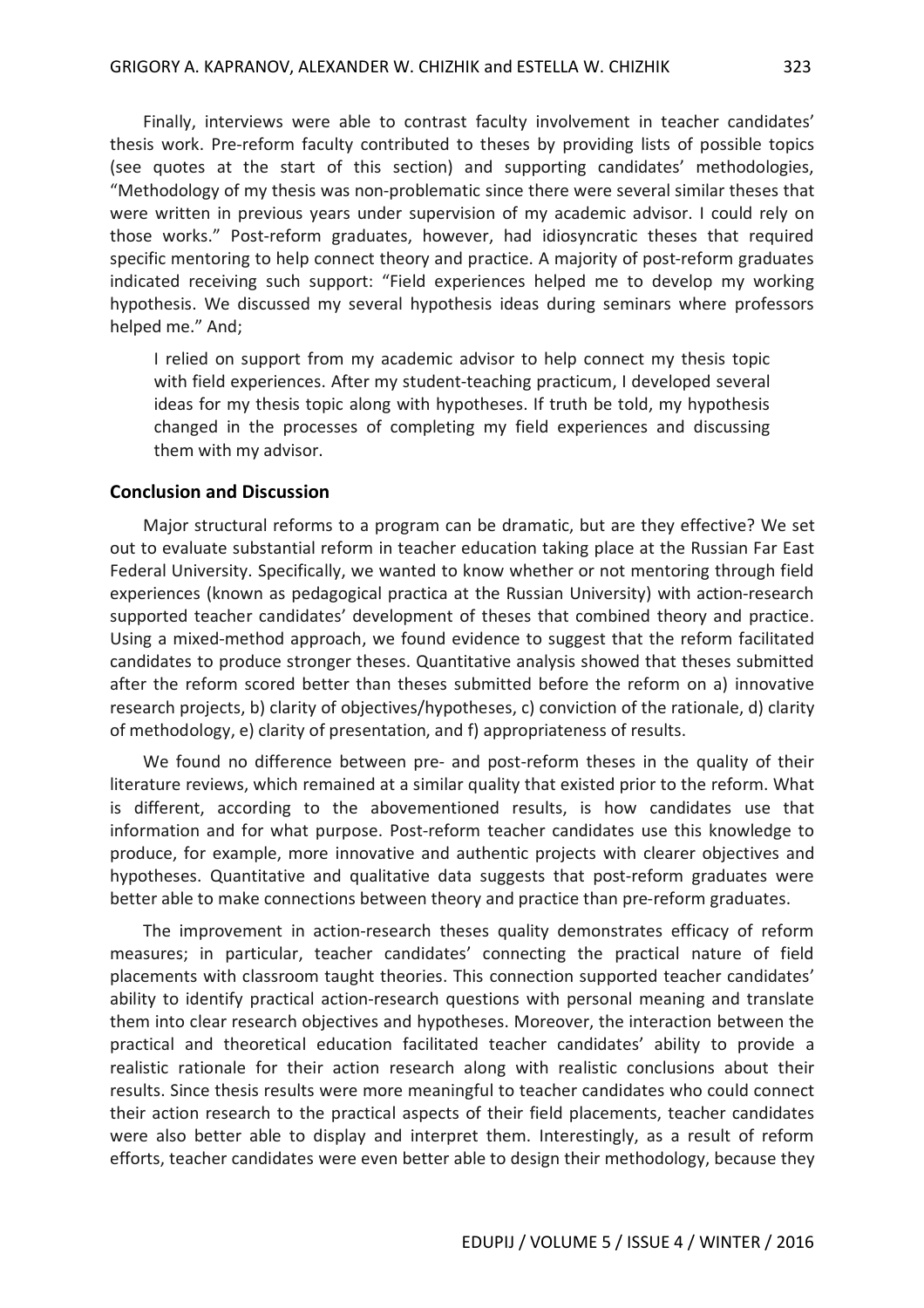Finally, interviews were able to contrast faculty involvement in teacher candidates' thesis work. Pre-reform faculty contributed to theses by providing lists of possible topics (see quotes at the start of this section) and supporting candidates' methodologies, "Methodology of my thesis was non-problematic since there were several similar theses that were written in previous years under supervision of my academic advisor. I could rely on those works." Post-reform graduates, however, had idiosyncratic theses that required specific mentoring to help connect theory and practice. A majority of post-reform graduates indicated receiving such support: "Field experiences helped me to develop my working hypothesis. We discussed my several hypothesis ideas during seminars where professors helped me." And;

I relied on support from my academic advisor to help connect my thesis topic with field experiences. After my student-teaching practicum, I developed several ideas for my thesis topic along with hypotheses. If truth be told, my hypothesis changed in the processes of completing my field experiences and discussing them with my advisor.

### **Conclusion and Discussion**

Major structural reforms to a program can be dramatic, but are they effective? We set out to evaluate substantial reform in teacher education taking place at the Russian Far East Federal University. Specifically, we wanted to know whether or not mentoring through field experiences (known as pedagogical practica at the Russian University) with action-research supported teacher candidates' development of theses that combined theory and practice. Using a mixed-method approach, we found evidence to suggest that the reform facilitated candidates to produce stronger theses. Quantitative analysis showed that theses submitted after the reform scored better than theses submitted before the reform on a) innovative research projects, b) clarity of objectives/hypotheses, c) conviction of the rationale, d) clarity of methodology, e) clarity of presentation, and f) appropriateness of results.

We found no difference between pre- and post-reform theses in the quality of their literature reviews, which remained at a similar quality that existed prior to the reform. What is different, according to the abovementioned results, is how candidates use that information and for what purpose. Post-reform teacher candidates use this knowledge to produce, for example, more innovative and authentic projects with clearer objectives and hypotheses. Quantitative and qualitative data suggests that post-reform graduates were better able to make connections between theory and practice than pre-reform graduates.

The improvement in action-research theses quality demonstrates efficacy of reform measures; in particular, teacher candidates' connecting the practical nature of field placements with classroom taught theories. This connection supported teacher candidates' ability to identify practical action-research questions with personal meaning and translate them into clear research objectives and hypotheses. Moreover, the interaction between the practical and theoretical education facilitated teacher candidates' ability to provide a realistic rationale for their action research along with realistic conclusions about their results. Since thesis results were more meaningful to teacher candidates who could connect their action research to the practical aspects of their field placements, teacher candidates were also better able to display and interpret them. Interestingly, as a result of reform efforts, teacher candidates were even better able to design their methodology, because they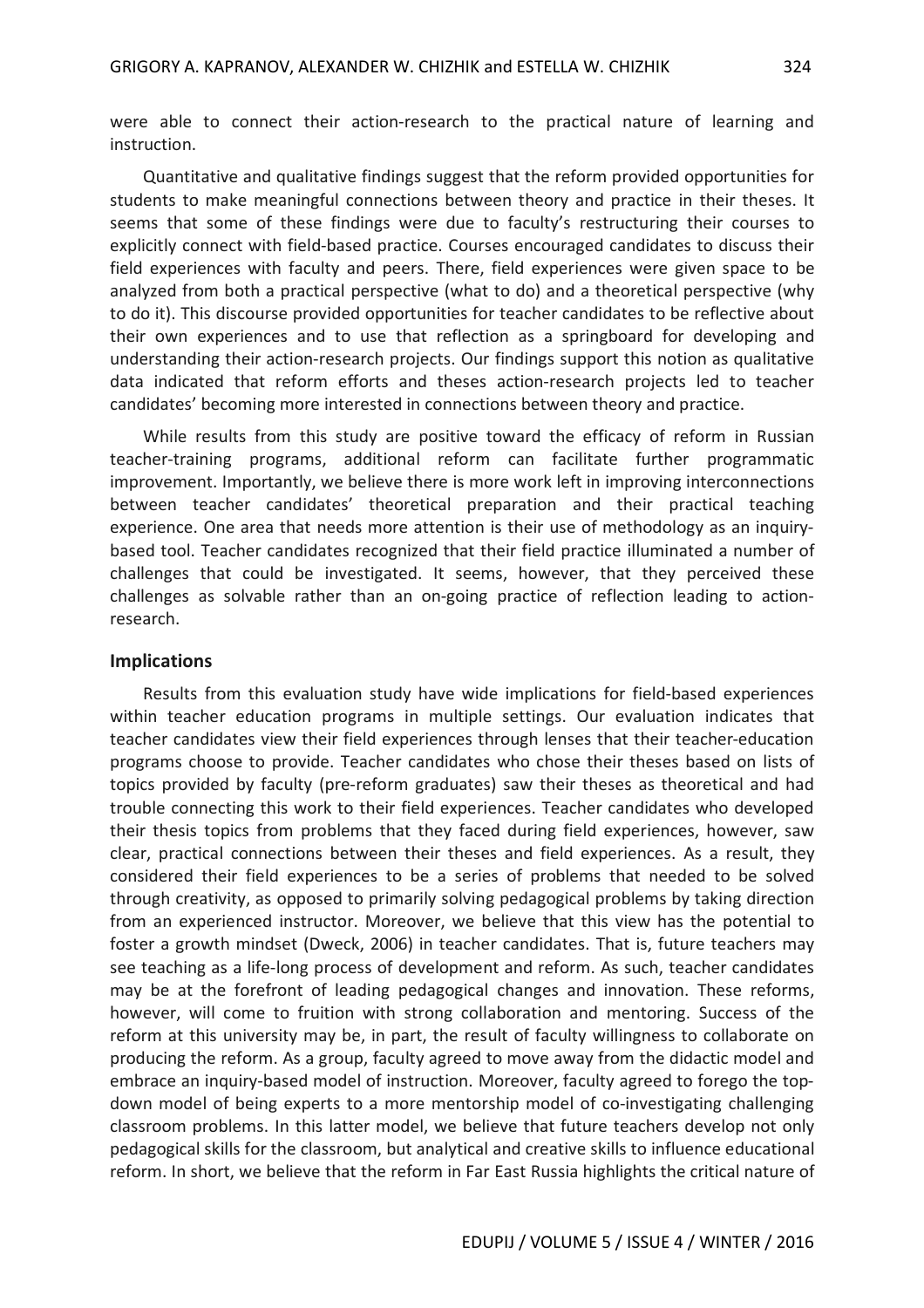were able to connect their action-research to the practical nature of learning and instruction.

Quantitative and qualitative findings suggest that the reform provided opportunities for students to make meaningful connections between theory and practice in their theses. It seems that some of these findings were due to faculty's restructuring their courses to explicitly connect with field-based practice. Courses encouraged candidates to discuss their field experiences with faculty and peers. There, field experiences were given space to be analyzed from both a practical perspective (what to do) and a theoretical perspective (why to do it). This discourse provided opportunities for teacher candidates to be reflective about their own experiences and to use that reflection as a springboard for developing and understanding their action-research projects. Our findings support this notion as qualitative data indicated that reform efforts and theses action-research projects led to teacher candidates' becoming more interested in connections between theory and practice.

While results from this study are positive toward the efficacy of reform in Russian teacher-training programs, additional reform can facilitate further programmatic improvement. Importantly, we believe there is more work left in improving interconnections between teacher candidates' theoretical preparation and their practical teaching experience. One area that needs more attention is their use of methodology as an inquirybased tool. Teacher candidates recognized that their field practice illuminated a number of challenges that could be investigated. It seems, however, that they perceived these challenges as solvable rather than an on-going practice of reflection leading to actionresearch.

#### **Implications**

Results from this evaluation study have wide implications for field-based experiences within teacher education programs in multiple settings. Our evaluation indicates that teacher candidates view their field experiences through lenses that their teacher-education programs choose to provide. Teacher candidates who chose their theses based on lists of topics provided by faculty (pre-reform graduates) saw their theses as theoretical and had trouble connecting this work to their field experiences. Teacher candidates who developed their thesis topics from problems that they faced during field experiences, however, saw clear, practical connections between their theses and field experiences. As a result, they considered their field experiences to be a series of problems that needed to be solved through creativity, as opposed to primarily solving pedagogical problems by taking direction from an experienced instructor. Moreover, we believe that this view has the potential to foster a growth mindset (Dweck, 2006) in teacher candidates. That is, future teachers may see teaching as a life-long process of development and reform. As such, teacher candidates may be at the forefront of leading pedagogical changes and innovation. These reforms, however, will come to fruition with strong collaboration and mentoring. Success of the reform at this university may be, in part, the result of faculty willingness to collaborate on producing the reform. As a group, faculty agreed to move away from the didactic model and embrace an inquiry-based model of instruction. Moreover, faculty agreed to forego the topdown model of being experts to a more mentorship model of co-investigating challenging classroom problems. In this latter model, we believe that future teachers develop not only pedagogical skills for the classroom, but analytical and creative skills to influence educational reform. In short, we believe that the reform in Far East Russia highlights the critical nature of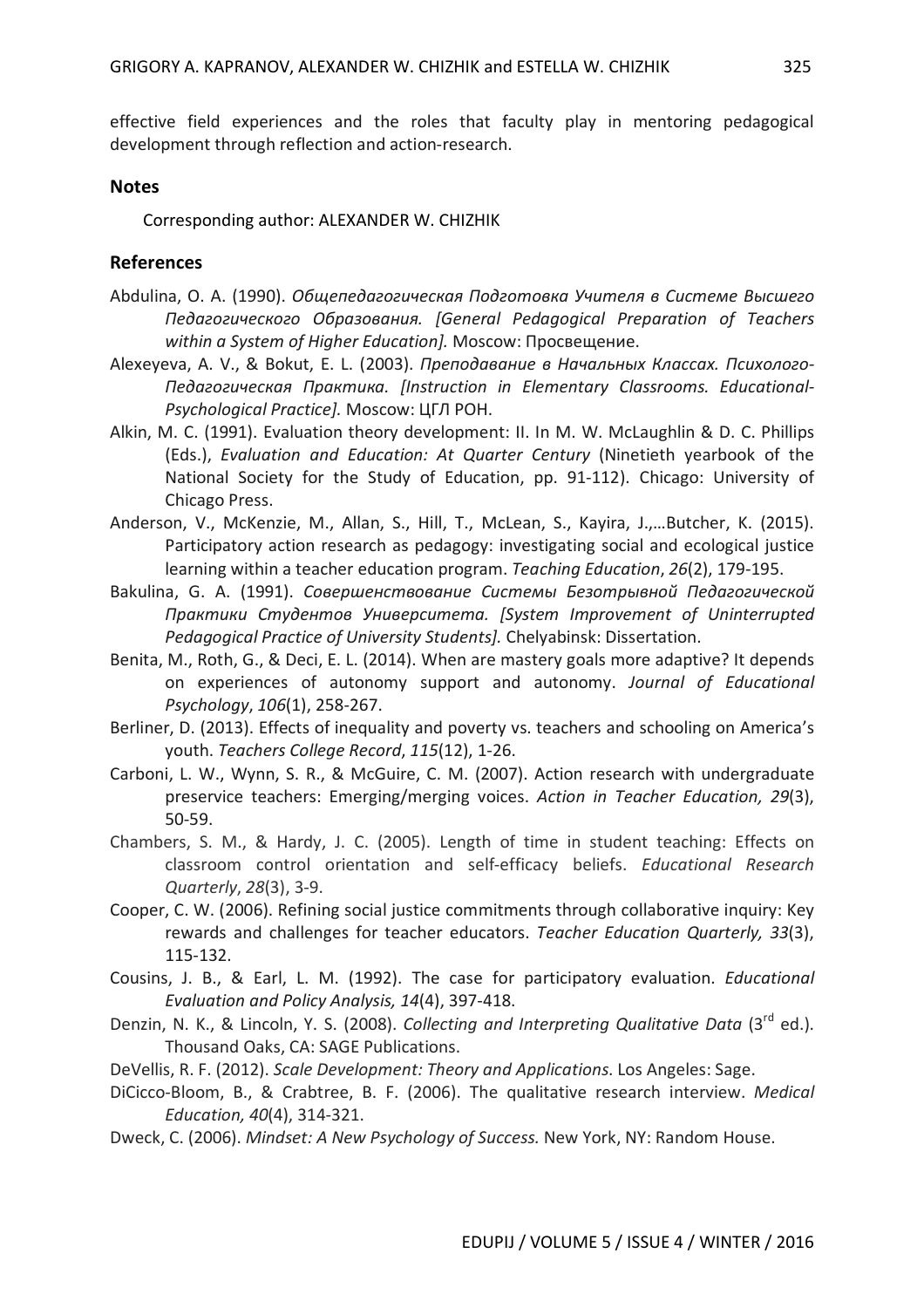effective field experiences and the roles that faculty play in mentoring pedagogical development through reflection and action-research.

## **Notes**

Corresponding author: ALEXANDER W. CHIZHIK

## **References**

- Abdulina, O. A. (1990). *Общепедагогическая Подготовка Учителя в Системе Высшего Педагогического Образования. [General Pedagogical Preparation of Teachers within a System of Higher Education].* Moscow: Просвещение.
- Alexeyeva, A. V., & Bokut, E. L. (2003). *Преподавание в Начальных Классах. Психолого-Педагогическая Практика. [Instruction in Elementary Classrooms. Educational-Psychological Practice].* Moscow: ЦГЛ РОН.
- Alkin, M. C. (1991). Evaluation theory development: II. In M. W. McLaughlin & D. C. Phillips (Eds.), *Evaluation and Education: At Quarter Century* (Ninetieth yearbook of the National Society for the Study of Education, pp. 91-112). Chicago: University of Chicago Press.
- Anderson, V., McKenzie, M., Allan, S., Hill, T., McLean, S., Kayira, J.,…Butcher, K. (2015). Participatory action research as pedagogy: investigating social and ecological justice learning within a teacher education program. *Teaching Education*, *26*(2), 179-195.
- Bakulina, G. A. (1991). *Совершенствование Системы Безотрывной Педагогической Практики Студентов Университета. [System Improvement of Uninterrupted Pedagogical Practice of University Students].* Chelyabinsk: Dissertation.
- Benita, M., Roth, G., & Deci, E. L. (2014). When are mastery goals more adaptive? It depends on experiences of autonomy support and autonomy. *Journal of Educational Psychology*, *106*(1), 258-267.
- Berliner, D. (2013). Effects of inequality and poverty vs. teachers and schooling on America's youth. *Teachers College Record*, *115*(12), 1-26.
- Carboni, L. W., Wynn, S. R., & McGuire, C. M. (2007). Action research with undergraduate preservice teachers: Emerging/merging voices. *Action in Teacher Education, 29*(3), 50-59.
- Chambers, S. M., & Hardy, J. C. (2005). Length of time in student teaching: Effects on classroom control orientation and self-efficacy beliefs. *Educational Research Quarterly*, *28*(3), 3-9.
- Cooper, C. W. (2006). Refining social justice commitments through collaborative inquiry: Key rewards and challenges for teacher educators. *Teacher Education Quarterly, 33*(3), 115-132.
- Cousins, J. B., & Earl, L. M. (1992). The case for participatory evaluation. *Educational Evaluation and Policy Analysis, 14*(4), 397-418.
- Denzin, N. K., & Lincoln, Y. S. (2008). *Collecting and Interpreting Qualitative Data* (3<sup>rd</sup> ed.). Thousand Oaks, CA: SAGE Publications.
- DeVellis, R. F. (2012). *Scale Development: Theory and Applications*. Los Angeles: Sage.
- DiCicco-Bloom, B., & Crabtree, B. F. (2006). The qualitative research interview. *Medical Education, 40*(4), 314-321.
- Dweck, C. (2006). *Mindset: A New Psychology of Success.* New York, NY: Random House.